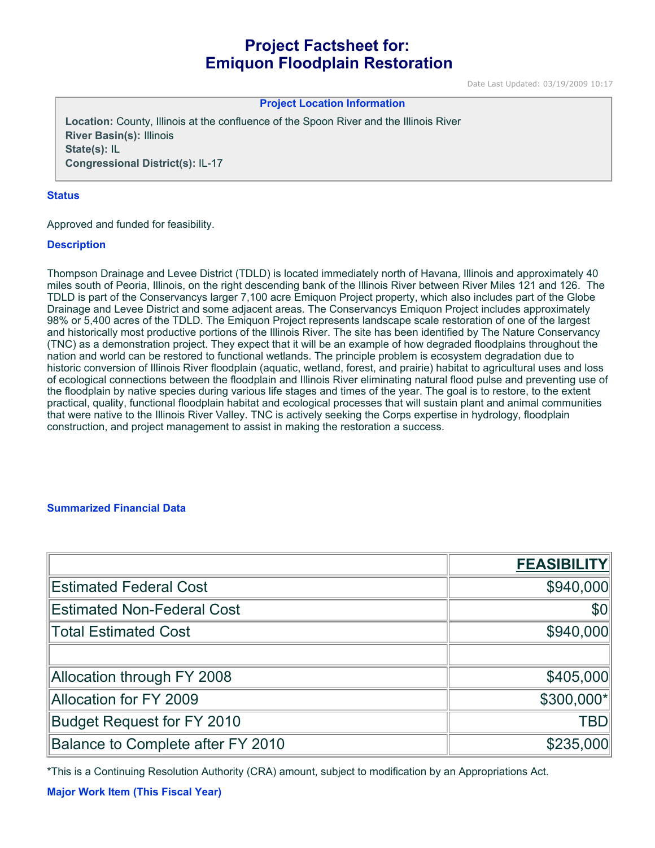# **Project Factsheet for: Emiquon Floodplain Restoration**

Date Last Updated: 03/19/2009 10:17

#### **Project Location Information**

**Location:** County, Illinois at the confluence of the Spoon River and the Illinois River **River Basin(s):** Illinois **State(s):** IL **Congressional District(s):** IL-17

## **Status**

Approved and funded for feasibility.

## **Description**

Thompson Drainage and Levee District (TDLD) is located immediately north of Havana, Illinois and approximately 40 miles south of Peoria, Illinois, on the right descending bank of the Illinois River between River Miles 121 and 126. The TDLD is part of the Conservancys larger 7,100 acre Emiquon Project property, which also includes part of the Globe Drainage and Levee District and some adjacent areas. The Conservancys Emiquon Project includes approximately 98% or 5,400 acres of the TDLD. The Emiquon Project represents landscape scale restoration of one of the largest and historically most productive portions of the Illinois River. The site has been identified by The Nature Conservancy (TNC) as a demonstration project. They expect that it will be an example of how degraded floodplains throughout the nation and world can be restored to functional wetlands. The principle problem is ecosystem degradation due to historic conversion of Illinois River floodplain (aquatic, wetland, forest, and prairie) habitat to agricultural uses and loss of ecological connections between the floodplain and Illinois River eliminating natural flood pulse and preventing use of the floodplain by native species during various life stages and times of the year. The goal is to restore, to the extent practical, quality, functional floodplain habitat and ecological processes that will sustain plant and animal communities that were native to the Illinois River Valley. TNC is actively seeking the Corps expertise in hydrology, floodplain construction, and project management to assist in making the restoration a success.

## **Summarized Financial Data**

|                                   | <b>FEASIBILITY</b> |
|-----------------------------------|--------------------|
| <b>Estimated Federal Cost</b>     | \$940,000          |
| <b>Estimated Non-Federal Cost</b> | \$0                |
| <b>Total Estimated Cost</b>       | \$940,000          |
|                                   |                    |
| Allocation through FY 2008        | \$405,000          |
| <b>Allocation for FY 2009</b>     | \$300,000*         |
| <b>Budget Request for FY 2010</b> | <b>TBD</b>         |
| Balance to Complete after FY 2010 | \$235,000          |

\*This is a Continuing Resolution Authority (CRA) amount, subject to modification by an Appropriations Act.

**Major Work Item (This Fiscal Year)**